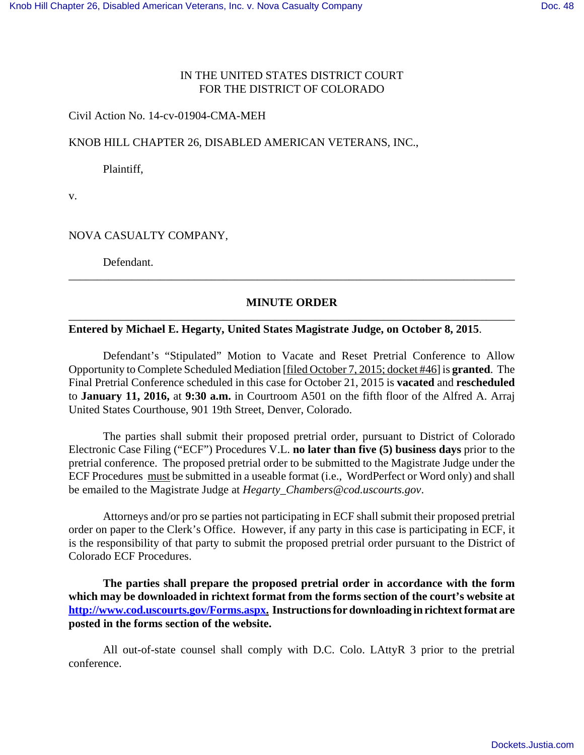# IN THE UNITED STATES DISTRICT COURT FOR THE DISTRICT OF COLORADO

#### Civil Action No. 14-cv-01904-CMA-MEH

#### KNOB HILL CHAPTER 26, DISABLED AMERICAN VETERANS, INC.,

Plaintiff,

v.

# NOVA CASUALTY COMPANY,

Defendant.

# **MINUTE ORDER** \_\_\_\_\_\_\_\_\_\_\_\_\_\_\_\_\_\_\_\_\_\_\_\_\_\_\_\_\_\_\_\_\_\_\_\_\_\_\_\_\_\_\_\_\_\_\_\_\_\_\_\_\_\_\_\_\_\_\_\_\_\_\_\_\_\_\_\_\_\_\_\_\_\_\_\_\_\_

\_\_\_\_\_\_\_\_\_\_\_\_\_\_\_\_\_\_\_\_\_\_\_\_\_\_\_\_\_\_\_\_\_\_\_\_\_\_\_\_\_\_\_\_\_\_\_\_\_\_\_\_\_\_\_\_\_\_\_\_\_\_\_\_\_\_\_\_\_\_\_\_\_\_\_\_\_\_

#### **Entered by Michael E. Hegarty, United States Magistrate Judge, on October 8, 2015**.

Defendant's "Stipulated" Motion to Vacate and Reset Pretrial Conference to Allow Opportunity to Complete Scheduled Mediation [filed October 7, 2015; docket #46] is **granted**. The Final Pretrial Conference scheduled in this case for October 21, 2015 is **vacated** and **rescheduled** to **January 11, 2016,** at **9:30 a.m.** in Courtroom A501 on the fifth floor of the Alfred A. Arraj United States Courthouse, 901 19th Street, Denver, Colorado.

The parties shall submit their proposed pretrial order, pursuant to District of Colorado Electronic Case Filing ("ECF") Procedures V.L. **no later than five (5) business days** prior to the pretrial conference. The proposed pretrial order to be submitted to the Magistrate Judge under the ECF Procedures must be submitted in a useable format (i.e., WordPerfect or Word only) and shall be emailed to the Magistrate Judge at *Hegarty\_Chambers@cod.uscourts.gov*.

Attorneys and/or pro se parties not participating in ECF shall submit their proposed pretrial order on paper to the Clerk's Office. However, if any party in this case is participating in ECF, it is the responsibility of that party to submit the proposed pretrial order pursuant to the District of Colorado ECF Procedures.

**The parties shall prepare the proposed pretrial order in accordance with the form which may be downloaded in richtext format from the forms section of the court's website at http://www.cod.uscourts.gov/Forms.aspx. Instructions for downloading in richtext format are posted in the forms section of the website.**

All out-of-state counsel shall comply with D.C. Colo. LAttyR 3 prior to the pretrial conference.